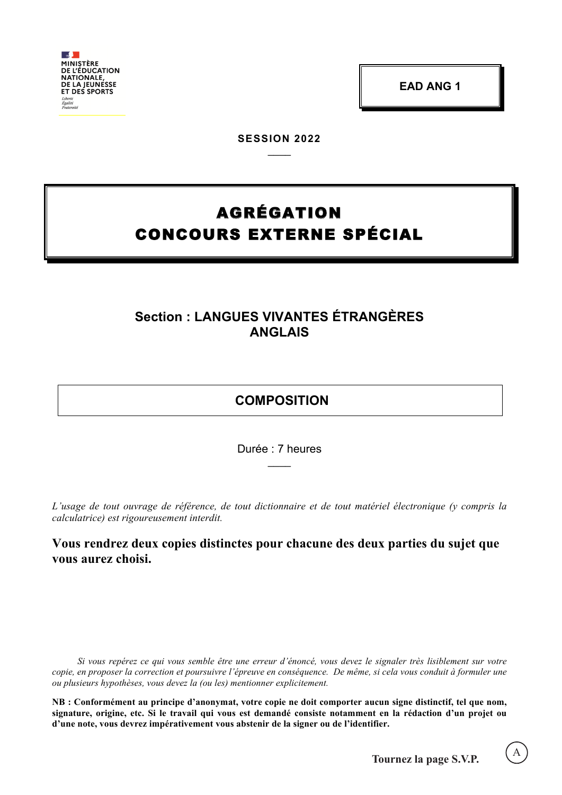

**EAD ANG 1**

**SESSION 2022**  $\frac{1}{2}$ 

# AGRÉGATION CONCOURS EXTERNE SPÉCIAL

# **Section : LANGUES VIVANTES ÉTRANGÈRES ANGLAIS**

# **COMPOSITION**

Durée : 7 heures  $\overline{\phantom{a}}$ 

*L'usage de tout ouvrage de référence, de tout dictionnaire et de tout matériel électronique (y compris la calculatrice) est rigoureusement interdit.*

**Vous rendrez deux copies distinctes pour chacune des deux parties du sujet que vous aurez choisi.**

*Si vous repérez ce qui vous semble être une erreur d'énoncé, vous devez le signaler très lisiblement sur votre copie, en proposer la correction et poursuivre l'épreuve en conséquence. De même, si cela vous conduit à formuler une ou plusieurs hypothèses, vous devez la (ou les) mentionner explicitement.*

**NB : Conformément au principe d'anonymat, votre copie ne doit comporter aucun signe distinctif, tel que nom, signature, origine, etc. Si le travail qui vous est demandé consiste notamment en la rédaction d'un projet ou d'une note, vous devrez impérativement vous abstenir de la signer ou de l'identifier.**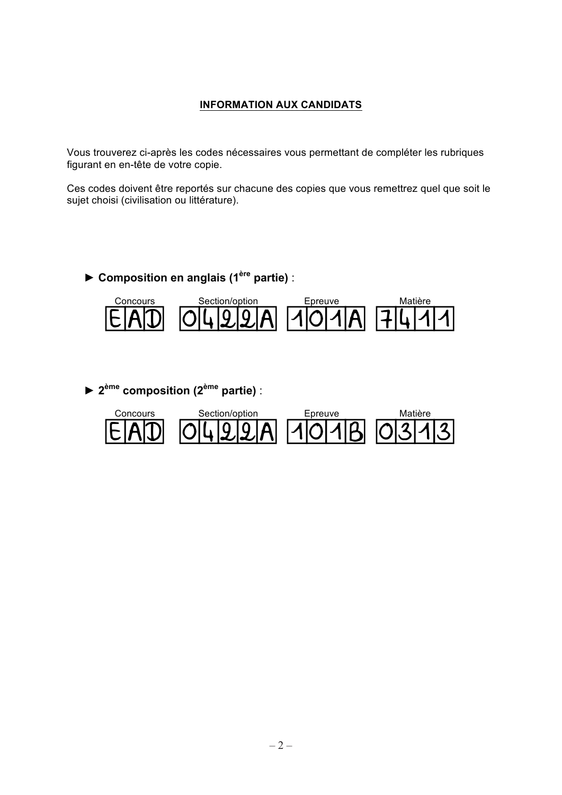#### **INFORMATION AUX CANDIDATS**

Vous trouverez ci-après les codes nécessaires vous permettant de compléter les rubriques figurant en en-tête de votre copie.

Ces codes doivent être reportés sur chacune des copies que vous remettrez quel que soit le sujet choisi (civilisation ou littérature).

# **► Composition en anglais (1ère partie)** :



# **► 2ème composition (2ème partie)** :

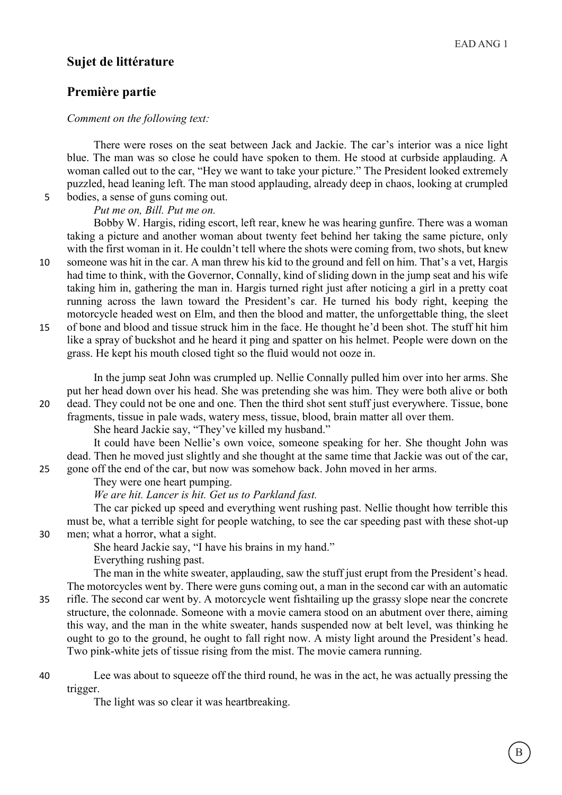### **Sujet de littérature**

#### **Première partie**

#### *Comment on the following text:*

There were roses on the seat between Jack and Jackie. The car's interior was a nice light blue. The man was so close he could have spoken to them. He stood at curbside applauding. A woman called out to the car, "Hey we want to take your picture." The President looked extremely puzzled, head leaning left. The man stood applauding, already deep in chaos, looking at crumpled 5 bodies, a sense of guns coming out.

*Put me on, Bill. Put me on.*

Bobby W. Hargis, riding escort, left rear, knew he was hearing gunfire. There was a woman taking a picture and another woman about twenty feet behind her taking the same picture, only with the first woman in it. He couldn't tell where the shots were coming from, two shots, but knew

- 10 someone was hit in the car. A man threw his kid to the ground and fell on him. That's a vet, Hargis had time to think, with the Governor, Connally, kind of sliding down in the jump seat and his wife taking him in, gathering the man in. Hargis turned right just after noticing a girl in a pretty coat running across the lawn toward the President's car. He turned his body right, keeping the motorcycle headed west on Elm, and then the blood and matter, the unforgettable thing, the sleet
- 15 of bone and blood and tissue struck him in the face. He thought he'd been shot. The stuff hit him like a spray of buckshot and he heard it ping and spatter on his helmet. People were down on the grass. He kept his mouth closed tight so the fluid would not ooze in.

In the jump seat John was crumpled up. Nellie Connally pulled him over into her arms. She put her head down over his head. She was pretending she was him. They were both alive or both

20 dead. They could not be one and one. Then the third shot sent stuff just everywhere. Tissue, bone fragments, tissue in pale wads, watery mess, tissue, blood, brain matter all over them.

She heard Jackie say, "They've killed my husband."

It could have been Nellie's own voice, someone speaking for her. She thought John was dead. Then he moved just slightly and she thought at the same time that Jackie was out of the car, 25 gone off the end of the car, but now was somehow back. John moved in her arms.

They were one heart pumping.

*We are hit. Lancer is hit. Get us to Parkland fast.*

The car picked up speed and everything went rushing past. Nellie thought how terrible this must be, what a terrible sight for people watching, to see the car speeding past with these shot-up 30 men; what a horror, what a sight.

She heard Jackie say, "I have his brains in my hand."

Everything rushing past.

The man in the white sweater, applauding, saw the stuff just erupt from the President's head. The motorcycles went by. There were guns coming out, a man in the second car with an automatic

- 35 rifle. The second car went by. A motorcycle went fishtailing up the grassy slope near the concrete structure, the colonnade. Someone with a movie camera stood on an abutment over there, aiming this way, and the man in the white sweater, hands suspended now at belt level, was thinking he ought to go to the ground, he ought to fall right now. A misty light around the President's head. Two pink-white jets of tissue rising from the mist. The movie camera running.
- 40 Lee was about to squeeze off the third round, he was in the act, he was actually pressing the trigger.

The light was so clear it was heartbreaking.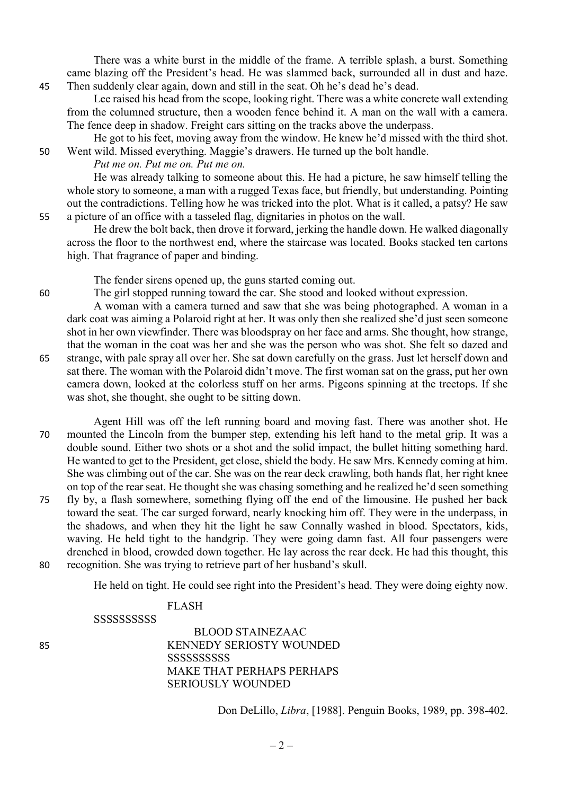There was a white burst in the middle of the frame. A terrible splash, a burst. Something came blazing off the President's head. He was slammed back, surrounded all in dust and haze. 45 Then suddenly clear again, down and still in the seat. Oh he's dead he's dead.

Lee raised his head from the scope, looking right. There was a white concrete wall extending from the columned structure, then a wooden fence behind it. A man on the wall with a camera. The fence deep in shadow. Freight cars sitting on the tracks above the underpass.

He got to his feet, moving away from the window. He knew he'd missed with the third shot. 50 Went wild. Missed everything. Maggie's drawers. He turned up the bolt handle.

*Put me on. Put me on. Put me on.*

He was already talking to someone about this. He had a picture, he saw himself telling the whole story to someone, a man with a rugged Texas face, but friendly, but understanding. Pointing out the contradictions. Telling how he was tricked into the plot. What is it called, a patsy? He saw 55 a picture of an office with a tasseled flag, dignitaries in photos on the wall.

He drew the bolt back, then drove it forward, jerking the handle down. He walked diagonally across the floor to the northwest end, where the staircase was located. Books stacked ten cartons high. That fragrance of paper and binding.

The fender sirens opened up, the guns started coming out.

60 The girl stopped running toward the car. She stood and looked without expression.

A woman with a camera turned and saw that she was being photographed. A woman in a dark coat was aiming a Polaroid right at her. It was only then she realized she'd just seen someone shot in her own viewfinder. There was bloodspray on her face and arms. She thought, how strange, that the woman in the coat was her and she was the person who was shot. She felt so dazed and 65 strange, with pale spray all over her. She sat down carefully on the grass. Just let herself down and sat there. The woman with the Polaroid didn't move. The first woman sat on the grass, put her own camera down, looked at the colorless stuff on her arms. Pigeons spinning at the treetops. If she was shot, she thought, she ought to be sitting down.

Agent Hill was off the left running board and moving fast. There was another shot. He 70 mounted the Lincoln from the bumper step, extending his left hand to the metal grip. It was a double sound. Either two shots or a shot and the solid impact, the bullet hitting something hard. He wanted to get to the President, get close, shield the body. He saw Mrs. Kennedy coming at him. She was climbing out of the car. She was on the rear deck crawling, both hands flat, her right knee on top of the rear seat. He thought she was chasing something and he realized he'd seen something 75 fly by, a flash somewhere, something flying off the end of the limousine. He pushed her back toward the seat. The car surged forward, nearly knocking him off. They were in the underpass, in the shadows, and when they hit the light he saw Connally washed in blood. Spectators, kids, waving. He held tight to the handgrip. They were going damn fast. All four passengers were drenched in blood, crowded down together. He lay across the rear deck. He had this thought, this 80 recognition. She was trying to retrieve part of her husband's skull.

He held on tight. He could see right into the President's head. They were doing eighty now.

#### FLASH

#### SSSSSSSSSS

BLOOD STAINEZAAC 85 KENNEDY SERIOSTY WOUNDED **SSSSSSSSSSSSSSSSSSSSSSS** MAKE THAT PERHAPS PERHAPS SERIOUSLY WOUNDED

Don DeLillo, *Libra*, [1988]. Penguin Books, 1989, pp. 398-402.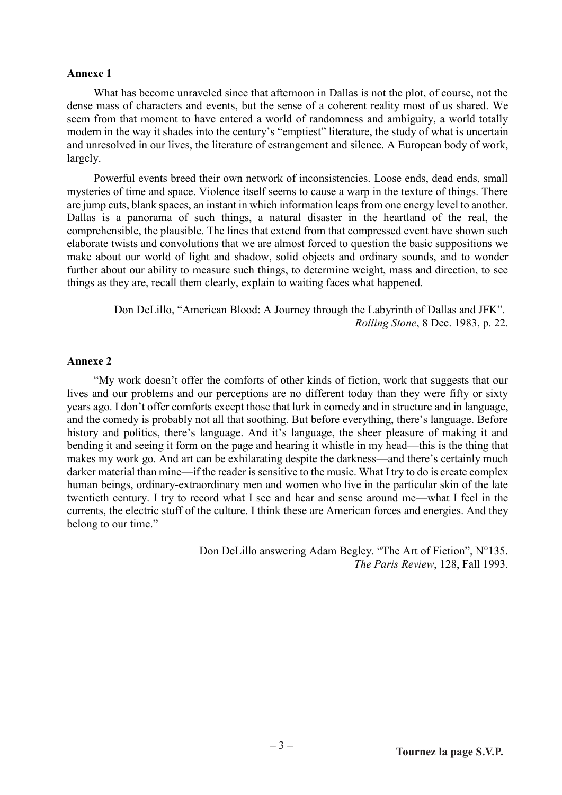#### **Annexe 1**

What has become unraveled since that afternoon in Dallas is not the plot, of course, not the dense mass of characters and events, but the sense of a coherent reality most of us shared. We seem from that moment to have entered a world of randomness and ambiguity, a world totally modern in the way it shades into the century's "emptiest" literature, the study of what is uncertain and unresolved in our lives, the literature of estrangement and silence. A European body of work, largely.

Powerful events breed their own network of inconsistencies. Loose ends, dead ends, small mysteries of time and space. Violence itself seems to cause a warp in the texture of things. There are jump cuts, blank spaces, an instant in which information leaps from one energy level to another. Dallas is a panorama of such things, a natural disaster in the heartland of the real, the comprehensible, the plausible. The lines that extend from that compressed event have shown such elaborate twists and convolutions that we are almost forced to question the basic suppositions we make about our world of light and shadow, solid objects and ordinary sounds, and to wonder further about our ability to measure such things, to determine weight, mass and direction, to see things as they are, recall them clearly, explain to waiting faces what happened.

> Don DeLillo, "American Blood: A Journey through the Labyrinth of Dallas and JFK". *Rolling Stone*, 8 Dec. 1983, p. 22.

#### **Annexe 2**

"My work doesn't offer the comforts of other kinds of fiction, work that suggests that our lives and our problems and our perceptions are no different today than they were fifty or sixty years ago. I don't offer comforts except those that lurk in comedy and in structure and in language, and the comedy is probably not all that soothing. But before everything, there's language. Before history and politics, there's language. And it's language, the sheer pleasure of making it and bending it and seeing it form on the page and hearing it whistle in my head—this is the thing that makes my work go. And art can be exhilarating despite the darkness—and there's certainly much darker material than mine—if the reader is sensitive to the music. What I try to do is create complex human beings, ordinary-extraordinary men and women who live in the particular skin of the late twentieth century. I try to record what I see and hear and sense around me—what I feel in the currents, the electric stuff of the culture. I think these are American forces and energies. And they belong to our time."

> Don DeLillo answering Adam Begley. "The Art of Fiction", N°135. *The Paris Review*, 128, Fall 1993.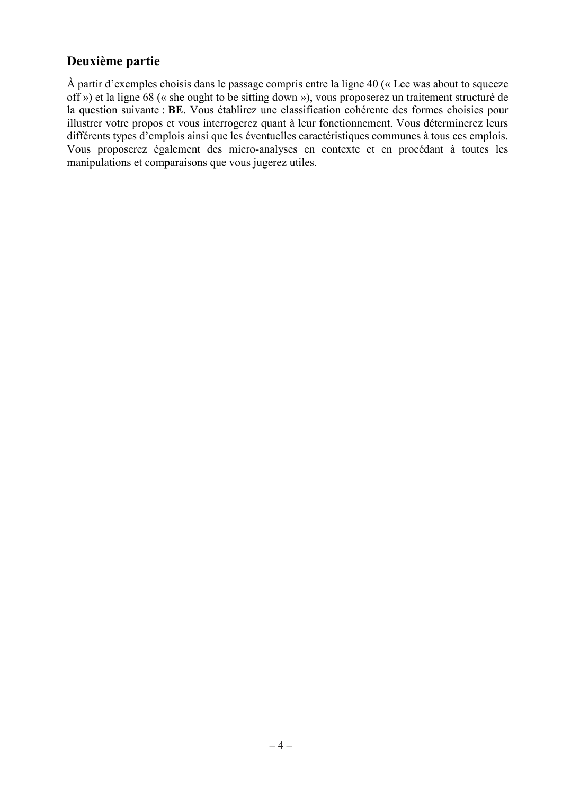# **Deuxième partie**

À partir d'exemples choisis dans le passage compris entre la ligne 40 (« Lee was about to squeeze off ») et la ligne 68 (« she ought to be sitting down »), vous proposerez un traitement structuré de la question suivante : **BE**. Vous établirez une classification cohérente des formes choisies pour illustrer votre propos et vous interrogerez quant à leur fonctionnement. Vous déterminerez leurs différents types d'emplois ainsi que les éventuelles caractéristiques communes à tous ces emplois. Vous proposerez également des micro-analyses en contexte et en procédant à toutes les manipulations et comparaisons que vous jugerez utiles.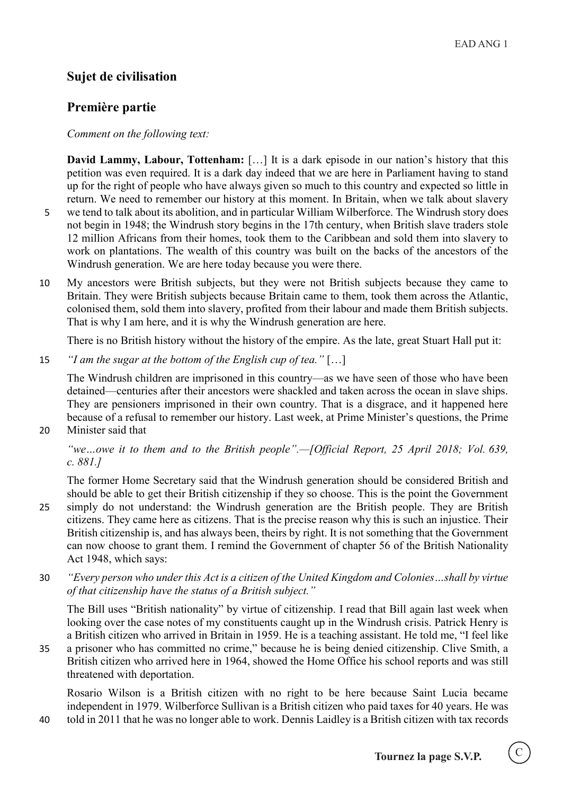## **Sujet de civilisation**

### **Première partie**

*Comment on the following text:* 

**David Lammy, Labour, Tottenham:** […] It is a dark episode in our nation's history that this petition was even required. It is a dark day indeed that we are here in Parliament having to stand up for the right of people who have always given so much to this country and expected so little in return. We need to remember our history at this moment. In Britain, when we talk about slavery 5 we tend to talk about its abolition, and in particular William Wilberforce. The Windrush story does

- not begin in 1948; the Windrush story begins in the 17th century, when British slave traders stole 12 million Africans from their homes, took them to the Caribbean and sold them into slavery to work on plantations. The wealth of this country was built on the backs of the ancestors of the Windrush generation. We are here today because you were there.
- 10 My ancestors were British subjects, but they were not British subjects because they came to Britain. They were British subjects because Britain came to them, took them across the Atlantic, colonised them, sold them into slavery, profited from their labour and made them British subjects. That is why I am here, and it is why the Windrush generation are here.

There is no British history without the history of the empire. As the late, great Stuart Hall put it:

15 *"I am the sugar at the bottom of the English cup of tea."* […]

The Windrush children are imprisoned in this country—as we have seen of those who have been detained—centuries after their ancestors were shackled and taken across the ocean in slave ships. They are pensioners imprisoned in their own country. That is a disgrace, and it happened here because of a refusal to remember our history. Last week, at Prime Minister's questions, the Prime

20 Minister said that

*"we…owe it to them and to the British people".—[Official Report, 25 April 2018; Vol. 639, c. 881.]*

The former Home Secretary said that the Windrush generation should be considered British and should be able to get their British citizenship if they so choose. This is the point the Government 25 simply do not understand: the Windrush generation are the British people. They are British citizens. They came here as citizens. That is the precise reason why this is such an injustice. Their British citizenship is, and has always been, theirs by right. It is not something that the Government can now choose to grant them. I remind the Government of chapter 56 of the British Nationality Act 1948, which says:

30 *"Every person who under this Act is a citizen of the United Kingdom and Colonies…shall by virtue of that citizenship have the status of a British subject."*

The Bill uses "British nationality" by virtue of citizenship. I read that Bill again last week when looking over the case notes of my constituents caught up in the Windrush crisis. Patrick Henry is a British citizen who arrived in Britain in 1959. He is a teaching assistant. He told me, "I feel like

35 a prisoner who has committed no crime," because he is being denied citizenship. Clive Smith, a British citizen who arrived here in 1964, showed the Home Office his school reports and was still threatened with deportation.

Rosario Wilson is a British citizen with no right to be here because Saint Lucia became independent in 1979. Wilberforce Sullivan is a British citizen who paid taxes for 40 years. He was 40 told in 2011 that he was no longer able to work. Dennis Laidley is a British citizen with tax records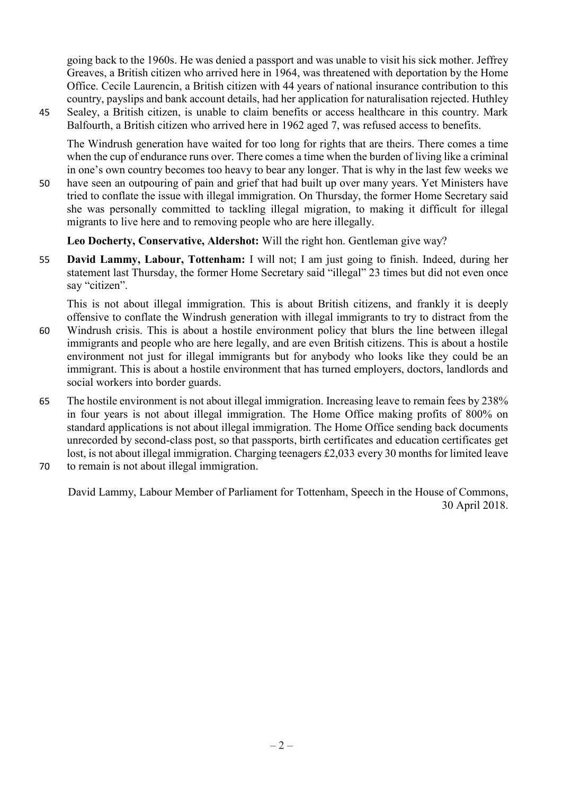going back to the 1960s. He was denied a passport and was unable to visit his sick mother. Jeffrey Greaves, a British citizen who arrived here in 1964, was threatened with deportation by the Home Office. Cecile Laurencin, a British citizen with 44 years of national insurance contribution to this country, payslips and bank account details, had her application for naturalisation rejected. Huthley

45 Sealey, a British citizen, is unable to claim benefits or access healthcare in this country. Mark Balfourth, a British citizen who arrived here in 1962 aged 7, was refused access to benefits.

The Windrush generation have waited for too long for rights that are theirs. There comes a time when the cup of endurance runs over. There comes a time when the burden of living like a criminal in one's own country becomes too heavy to bear any longer. That is why in the last few weeks we

50 have seen an outpouring of pain and grief that had built up over many years. Yet Ministers have tried to conflate the issue with illegal immigration. On Thursday, the former Home Secretary said she was personally committed to tackling illegal migration, to making it difficult for illegal migrants to live here and to removing people who are here illegally.

**Leo Docherty, Conservative, Aldershot:** Will the right hon. Gentleman give way?

55 **David Lammy, Labour, Tottenham:** I will not; I am just going to finish. Indeed, during her statement last Thursday, the former Home Secretary said "illegal" 23 times but did not even once say "citizen".

This is not about illegal immigration. This is about British citizens, and frankly it is deeply offensive to conflate the Windrush generation with illegal immigrants to try to distract from the 60 Windrush crisis. This is about a hostile environment policy that blurs the line between illegal immigrants and people who are here legally, and are even British citizens. This is about a hostile environment not just for illegal immigrants but for anybody who looks like they could be an immigrant. This is about a hostile environment that has turned employers, doctors, landlords and social workers into border guards.

- 65 The hostile environment is not about illegal immigration. Increasing leave to remain fees by 238% in four years is not about illegal immigration. The Home Office making profits of 800% on standard applications is not about illegal immigration. The Home Office sending back documents unrecorded by second-class post, so that passports, birth certificates and education certificates get lost, is not about illegal immigration. Charging teenagers £2,033 every 30 months for limited leave
- 70 to remain is not about illegal immigration.

David Lammy, Labour Member of Parliament for Tottenham, Speech in the House of Commons, 30 April 2018.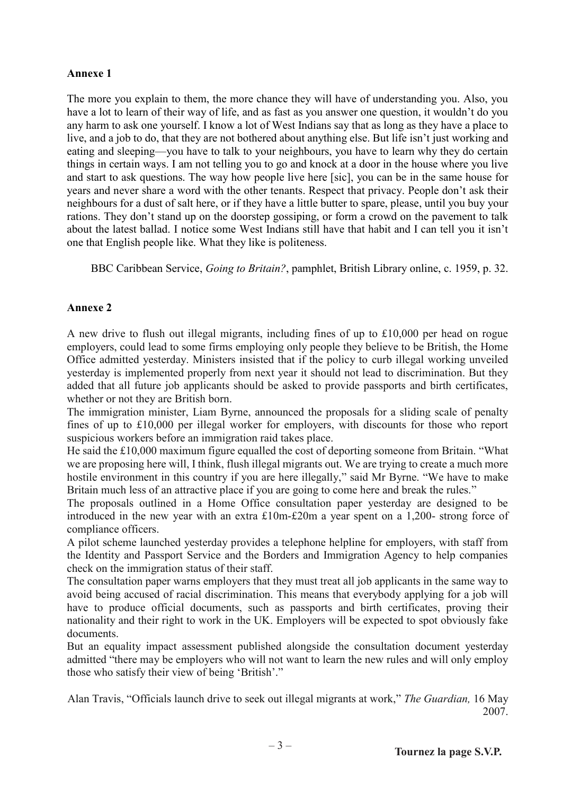#### **Annexe 1**

The more you explain to them, the more chance they will have of understanding you. Also, you have a lot to learn of their way of life, and as fast as you answer one question, it wouldn't do you any harm to ask one yourself. I know a lot of West Indians say that as long as they have a place to live, and a job to do, that they are not bothered about anything else. But life isn't just working and eating and sleeping—you have to talk to your neighbours, you have to learn why they do certain things in certain ways. I am not telling you to go and knock at a door in the house where you live and start to ask questions. The way how people live here [sic], you can be in the same house for years and never share a word with the other tenants. Respect that privacy. People don't ask their neighbours for a dust of salt here, or if they have a little butter to spare, please, until you buy your rations. They don't stand up on the doorstep gossiping, or form a crowd on the pavement to talk about the latest ballad. I notice some West Indians still have that habit and I can tell you it isn't one that English people like. What they like is politeness.

BBC Caribbean Service, *Going to Britain?*, pamphlet, British Library online, c. 1959, p. 32.

#### **Annexe 2**

A new drive to flush out illegal migrants, including fines of up to £10,000 per head on rogue employers, could lead to some firms employing only people they believe to be British, the Home Office admitted yesterday. Ministers insisted that if the policy to curb illegal working unveiled yesterday is implemented properly from next year it should not lead to discrimination. But they added that all future job applicants should be asked to provide passports and birth certificates, whether or not they are British born.

The immigration minister, Liam Byrne, announced the proposals for a sliding scale of penalty fines of up to £10,000 per illegal worker for employers, with discounts for those who report suspicious workers before an immigration raid takes place.

He said the £10,000 maximum figure equalled the cost of deporting someone from Britain. "What we are proposing here will, I think, flush illegal migrants out. We are trying to create a much more hostile environment in this country if you are here illegally," said Mr Byrne. "We have to make Britain much less of an attractive place if you are going to come here and break the rules."

The proposals outlined in a Home Office consultation paper yesterday are designed to be introduced in the new year with an extra £10m-£20m a year spent on a 1,200- strong force of compliance officers.

A pilot scheme launched yesterday provides a telephone helpline for employers, with staff from the Identity and Passport Service and the Borders and Immigration Agency to help companies check on the immigration status of their staff.

The consultation paper warns employers that they must treat all job applicants in the same way to avoid being accused of racial discrimination. This means that everybody applying for a job will have to produce official documents, such as passports and birth certificates, proving their nationality and their right to work in the UK. Employers will be expected to spot obviously fake documents.

But an equality impact assessment published alongside the consultation document vesterday admitted "there may be employers who will not want to learn the new rules and will only employ those who satisfy their view of being 'British'."

Alan Travis, "Officials launch drive to seek out illegal migrants at work," *The Guardian,* 16 May 2007.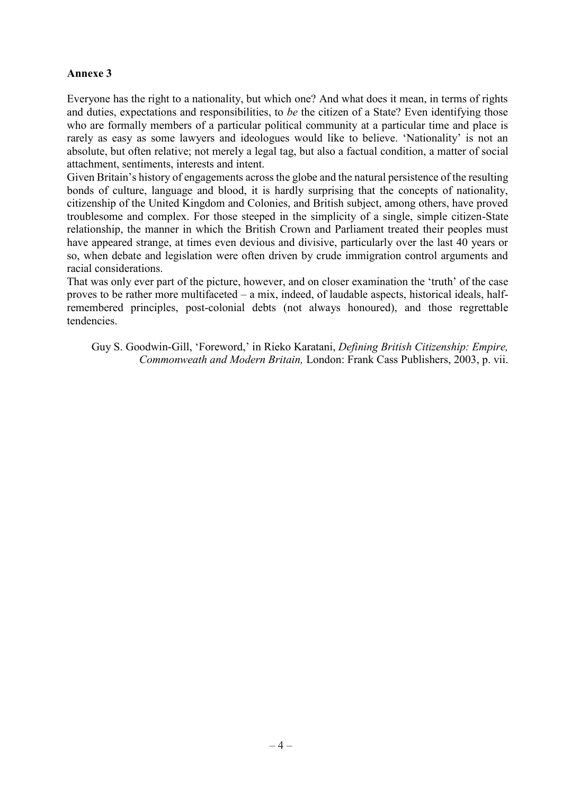#### **Annexe 3**

Everyone has the right to a nationality, but which one? And what does it mean, in terms of rights and duties, expectations and responsibilities, to *be* the citizen of a State? Even identifying those who are formally members of a particular political community at a particular time and place is rarely as easy as some lawyers and ideologues would like to believe. 'Nationality' is not an absolute, but often relative; not merely a legal tag, but also a factual condition, a matter of social attachment, sentiments, interests and intent.

Given Britain's history of engagements across the globe and the natural persistence of the resulting bonds of culture, language and blood, it is hardly surprising that the concepts of nationality, citizenship of the United Kingdom and Colonies, and British subject, among others, have proved troublesome and complex. For those steeped in the simplicity of a single, simple citizen-State relationship, the manner in which the British Crown and Parliament treated their peoples must have appeared strange, at times even devious and divisive, particularly over the last 40 years or so, when debate and legislation were often driven by crude immigration control arguments and racial considerations.

That was only ever part of the picture, however, and on closer examination the 'truth' of the case proves to be rather more multifaceted – a mix, indeed, of laudable aspects, historical ideals, halfremembered principles, post-colonial debts (not always honoured), and those regrettable tendencies.

Guy S. Goodwin-Gill, 'Foreword,' in Rieko Karatani, *Defining British Citizenship: Empire, Commonweath and Modern Britain,* London: Frank Cass Publishers, 2003, p. vii.